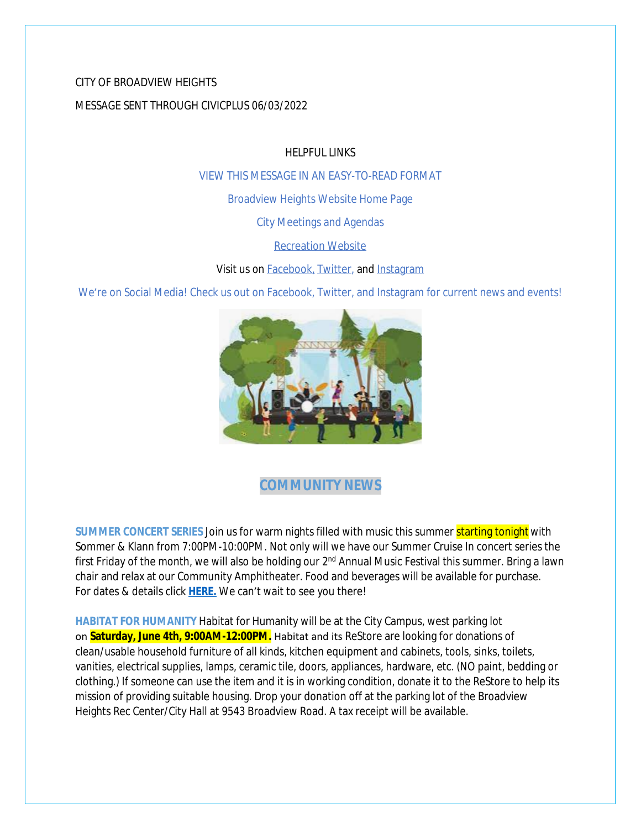# CITY OF BROADVIEW HEIGHTS MESSAGE SENT THROUGH CIVICPLUS 06/03/2022

HELPFUL LINKS

[VIEW THIS MESSAGE IN AN EASY-TO-READ FORMAT](https://www.broadview-heights.org/Archive.aspx?AMID=37)

[Broadview Heights Website Home Page](https://www.broadview-heights.org/)

[City Meetings and Agendas](https://www.broadview-heights.org/1126/Agendas-Meeting-Minutes)

[Recreation Website](https://broadview-heights.org/292/Parks-Recreation)

Visit us on [Facebook,](https://www.facebook.com/broadviewhts/) [Twitter,](https://twitter.com/broadviewhts) and [Instagram](https://www.instagram.com/cityofbroadviewheights/)

We're on Social Media! Check us out on Facebook, Twitter, and Instagram for current news and events!



# **COMMUNITY NEWS**

**SUMMER CONCERT SERIES** Join us for warm nights filled with music this summer starting tonight with Sommer & Klann from 7:00PM-10:00PM. Not only will we have our Summer Cruise In concert series the first Friday of the month, we will also be holding our 2<sup>nd</sup> Annual Music Festival this summer. Bring a lawn chair and relax at our Community Amphitheater. Food and beverages will be available for purchase. For dates & details click **[HERE.](https://broadview-heights.org/ImageRepository/Document?documentId=9488)** We can't wait to see you there!

**HABITAT FOR HUMANITY** Habitat for Humanity will be at the City Campus, west parking lot on **Saturday, June 4th, 9:00AM-12:00PM.** Habitat and its ReStore are looking for donations of clean/usable household furniture of all kinds, kitchen equipment and cabinets, tools, sinks, toilets, vanities, electrical supplies, lamps, ceramic tile, doors, appliances, hardware, etc. (NO paint, bedding or clothing.) If someone can use the item and it is in working condition, donate it to the ReStore to help its mission of providing suitable housing. Drop your donation off at the parking lot of the Broadview Heights Rec Center/City Hall at 9543 Broadview Road. A tax receipt will be available.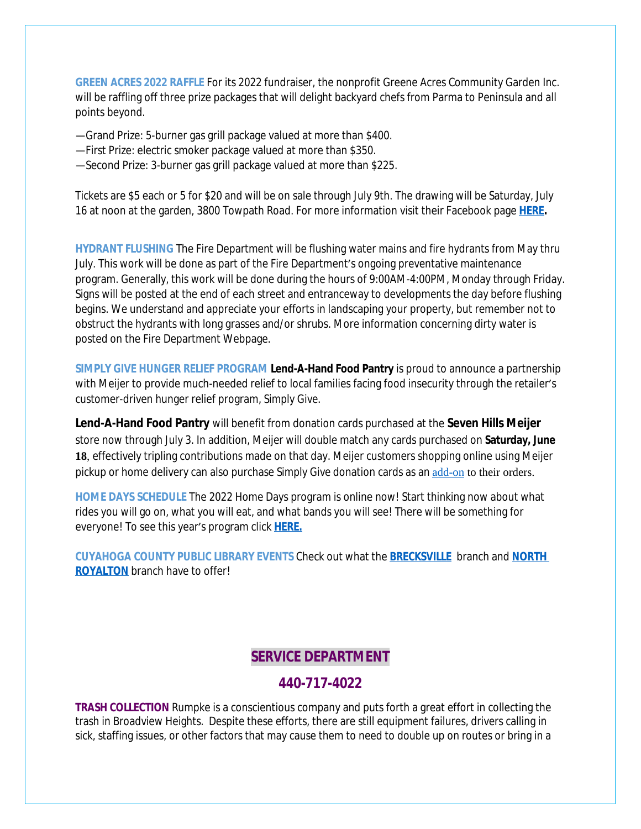**GREEN ACRES 2022 RAFFLE** For its 2022 fundraiser, the nonprofit Greene Acres Community Garden Inc. will be raffling off three prize packages that will delight backyard chefs from Parma to Peninsula and all points beyond.

- —Grand Prize: 5-burner gas grill package valued at more than \$400.
- —First Prize: electric smoker package valued at more than \$350.
- —Second Prize: 3-burner gas grill package valued at more than \$225.

Tickets are \$5 each or 5 for \$20 and will be on sale through July 9th. The drawing will be Saturday, July 16 at noon at the garden, 3800 Towpath Road. For more information visit their Facebook page **[HERE.](https://www.facebook.com/greeneacresCG/)**

**HYDRANT FLUSHING** The Fire Department will be flushing water mains and fire hydrants from May thru July. This work will be done as part of the Fire Department's ongoing preventative maintenance program. Generally, this work will be done during the hours of 9:00AM-4:00PM, Monday through Friday. Signs will be posted at the end of each street and entranceway to developments the day before flushing begins. We understand and appreciate your efforts in landscaping your property, but remember not to obstruct the hydrants with long grasses and/or shrubs. More information concerning dirty water is posted on the Fire Department Webpage.

**SIMPLY GIVE HUNGER RELIEF PROGRAM Lend-A-Hand Food Pantry** is proud to announce a partnership with Meijer to provide much-needed relief to local families facing food insecurity through the retailer's customer-driven hunger relief program, *Simply Give*.

**Lend-A-Hand Food Pantry** will benefit from donation cards purchased at the **Seven Hills Meijer** store now through July 3. In addition, Meijer will double match any cards purchased on **Saturday, June 18**, effectively tripling contributions made on that day. Meijer customers shopping online using Meijer pickup or home delivery can also purchase *Simply Give* donation cards as an [add-on](https://www.meijer.com/shopping/product/simply-give-10-food-pantry-donation/70882088231.html?icid=Redirect:SimplyGive) to their orders.

**HOME DAYS SCHEDULE** The 2022 Home Days program is online now! Start thinking now about what rides you will go on, what you will eat, and what bands you will see! There will be something for everyone! To see this year's program click **[HERE.](https://www.canva.com/design/DAE_rHLKtkA/AIFd_O5zMak0QjlSIEjVgQ/view?utm_content=DAE_rHLKtkA&utm_campaign=share_your_design&utm_medium=link&utm_source=shareyourdesignpanel%2311)**

**CUYAHOGA COUNTY PUBLIC LIBRARY EVENTS** Check out what the **[BRECKSVILLE](https://attend.cuyahogalibrary.org/events?r=thismonth)** branch and **[NORTH](https://attend.cuyahogalibrary.org/events?r=thismonth)  ROYALTON** branch have to offer!

### **SERVICE DEPARTMENT**

### **440-717-4022**

**TRASH COLLECTION** Rumpke is a conscientious company and puts forth a great effort in collecting the trash in Broadview Heights. Despite these efforts, there are still equipment failures, drivers calling in sick, staffing issues, or other factors that may cause them to need to double up on routes or bring in a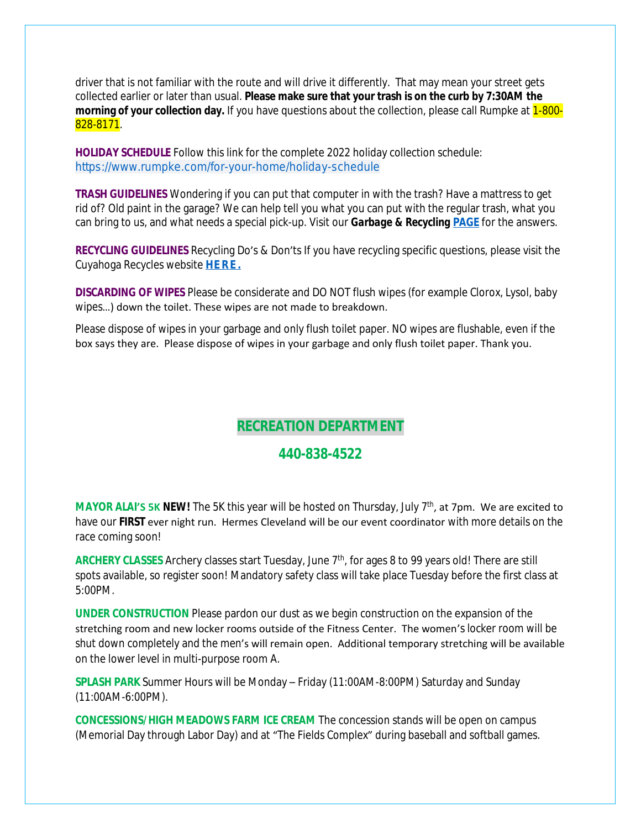driver that is not familiar with the route and will drive it differently. That may mean your street gets collected earlier or later than usual. **Please make sure that your trash is on the curb by 7:30AM the morning of your collection day.** If you have questions about the collection, please call Rumpke at 1-800-828-8171.

**HOLIDAY SCHEDULE** Follow this link for the complete 2022 holiday collection schedule: [https://www.rumpke.com/for-your-home/holiday-schedule](https://www.rumpke.com/for-your-home/holiday-schedule?fbclid=IwAR1VvEdr_iqUoIZvq14MYSkKzfzQ-6sfsPd4R2lvikCS1gCCyScPNuKgygE)

**TRASH GUIDELINES** Wondering if you can put that computer in with the trash? Have a mattress to get rid of? Old paint in the garage? We can help tell you what you can put with the regular trash, what you can bring to us, and what needs a special pick-up. Visit our *Garbage & Recycling* **[PAGE](https://broadview-heights.org/1027/Garbage-Recycling)** for the answers.

**RECYCLING GUIDELINES** Recycling Do's & Don'ts If you have recycling specific questions, please visit the Cuyahoga Recycles website **[HERE.](https://cuyahogarecycles.org/how_to_recycle)**

**DISCARDING OF WIPES** Please be considerate and DO NOT flush wipes (for example Clorox, Lysol, baby wipes…) down the toilet. These wipes are not made to breakdown.

Please dispose of wipes in your garbage and only flush toilet paper. NO wipes are flushable, even if the box says they are. Please dispose of wipes in your garbage and only flush toilet paper. Thank you.

# **RECREATION DEPARTMENT**

### **440-838-4522**

**MAYOR ALAI'S 5K NEW!** The 5K this year will be hosted on Thursday, July 7th, at 7pm. We are excited to have our **FIRST** ever night run. Hermes Cleveland will be our event coordinator with more details on the race coming soon!

**ARCHERY CLASSES** Archery classes start Tuesday, June 7<sup>th</sup>, for ages 8 to 99 years old! There are still spots available, so register soon! Mandatory safety class will take place Tuesday before the first class at 5:00PM.

**UNDER CONSTRUCTION** Please pardon our dust as we begin construction on the expansion of the stretching room and new locker rooms outside of the Fitness Center. The women's locker room will be shut down completely and the men's will remain open. Additional temporary stretching will be available on the lower level in multi-purpose room A.

**SPLASH PARK** Summer Hours will be Monday – Friday (11:00AM-8:00PM) Saturday and Sunday (11:00AM-6:00PM).

**CONCESSIONS/HIGH MEADOWS FARM ICE CREAM** The concession stands will be open on campus (Memorial Day through Labor Day) and at "The Fields Complex" during baseball and softball games.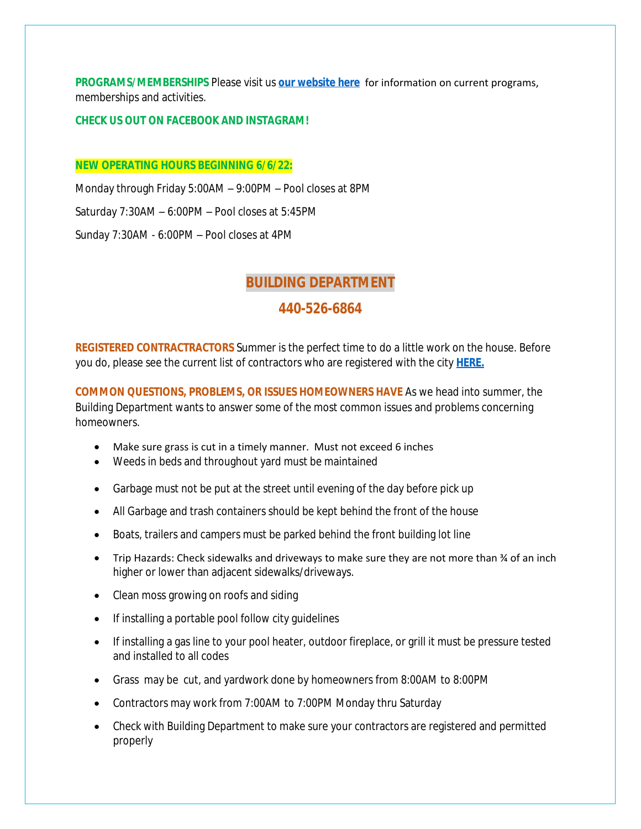**PROGRAMS/MEMBERSHIPS** Please visit us **[our website here](https://www.broadview-heights.org/292/Parks-Recreation)** for information on current programs, memberships and activities.

#### **CHECK US OUT ON FACEBOOK AND INSTAGRAM!**

#### **NEW OPERATING HOURS BEGINNING 6/6/22:**

Monday through Friday 5:00AM – 9:00PM – Pool closes at 8PM Saturday 7:30AM – 6:00PM – Pool closes at 5:45PM Sunday 7:30AM - 6:00PM – Pool closes at 4PM

### **BUILDING DEPARTMENT**

### **440-526-6864**

**REGISTERED CONTRACTRACTORS** Summer is the perfect time to do a little work on the house. Before you do, please see the current list of contractors who are registered with the city **[HERE.](https://broadview-heights.org/DocumentCenter/View/9272/2022-REGISTERED-CONTRACTORS)**

**COMMON QUESTIONS, PROBLEMS, OR ISSUES HOMEOWNERS HAVE** As we head into summer, the Building Department wants to answer some of the most common issues and problems concerning homeowners.

- Make sure grass is cut in a timely manner. Must not exceed 6 inches
- Weeds in beds and throughout yard must be maintained
- Garbage must not be put at the street until evening of the day before pick up
- All Garbage and trash containers should be kept behind the front of the house
- Boats, trailers and campers must be parked behind the front building lot line
- Trip Hazards: Check sidewalks and driveways to make sure they are not more than ¾ of an inch higher or lower than adjacent sidewalks/driveways.
- Clean moss growing on roofs and siding
- If installing a portable pool follow city guidelines
- If installing a gas line to your pool heater, outdoor fireplace, or grill it must be pressure tested and installed to all codes
- Grass may be cut, and yardwork done by homeowners from 8:00AM to 8:00PM
- Contractors may work from 7:00AM to 7:00PM Monday thru Saturday
- Check with Building Department to make sure your contractors are registered and permitted properly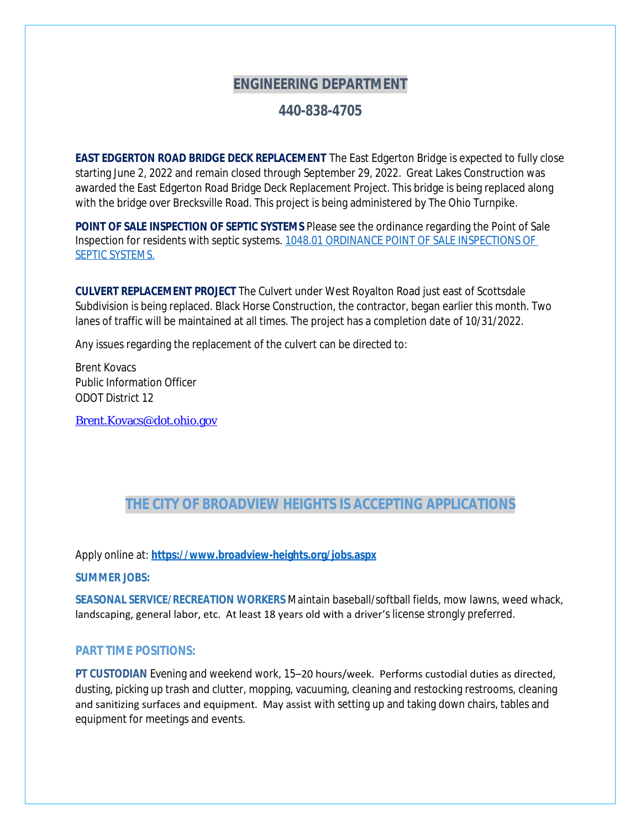## **ENGINEERING DEPARTMENT**

### **440-838-4705**

**EAST EDGERTON ROAD BRIDGE DECK REPLACEMENT** The East Edgerton Bridge is expected to fully close starting June 2, 2022 and remain closed through September 29, 2022. Great Lakes Construction was awarded the East Edgerton Road Bridge Deck Replacement Project. This bridge is being replaced along with the bridge over Brecksville Road. This project is being administered by The Ohio Turnpike.

**POINT OF SALE INSPECTION OF SEPTIC SYSTEMS** Please see the ordinance regarding the Point of Sale Inspection for residents with septic systems. [1048.01 ORDINANCE POINT OF SALE INSPECTIONS OF](https://codelibrary.amlegal.com/codes/broadviewhts/latest/broadview_oh/0-0-0-13398)  SEPTIC SYSTEMS.

**CULVERT REPLACEMENT PROJECT** The Culvert under West Royalton Road just east of Scottsdale Subdivision is being replaced. Black Horse Construction, the contractor, began earlier this month. Two lanes of traffic will be maintained at all times. The project has a completion date of 10/31/2022.

Any issues regarding the replacement of the culvert can be directed to:

Brent Kovacs Public Information Officer ODOT District 12

[Brent.Kovacs@dot.ohio.gov](mailto:Brent.Kovacs@dot.ohio.gov)

# **THE CITY OF BROADVIEW HEIGHTS IS ACCEPTING APPLICATIONS**

Apply online at: **<https://www.broadview-heights.org/jobs.aspx>**

**SUMMER JOBS:**

**SEASONAL SERVICE/RECREATION WORKERS** Maintain baseball/softball fields, mow lawns, weed whack, landscaping, general labor, etc. At least 18 years old with a driver's license strongly preferred.

#### **PART TIME POSITIONS:**

**PT CUSTODIAN** Evening and weekend work, 15–20 hours/week. Performs custodial duties as directed, dusting, picking up trash and clutter, mopping, vacuuming, cleaning and restocking restrooms, cleaning and sanitizing surfaces and equipment. May assist with setting up and taking down chairs, tables and equipment for meetings and events.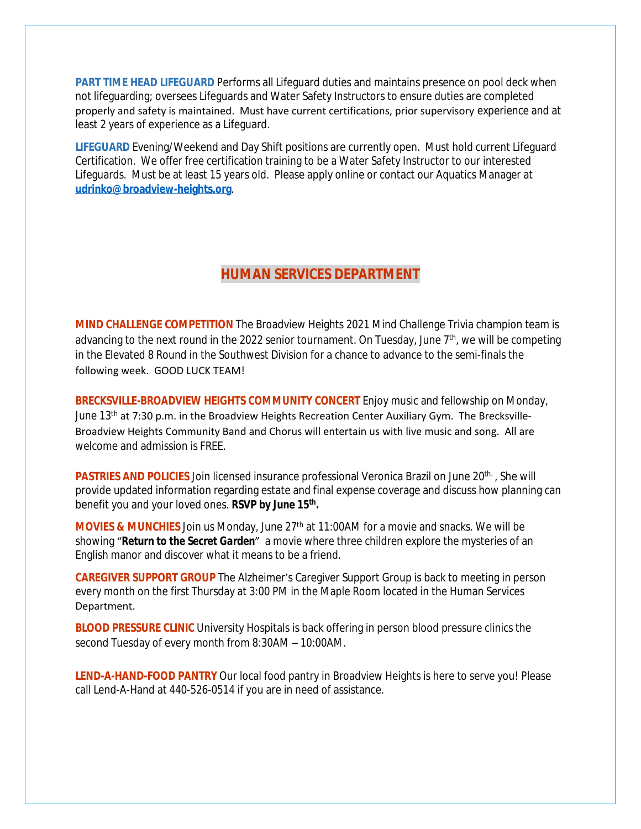**PART TIME HEAD LIFEGUARD** Performs all Lifeguard duties and maintains presence on pool deck when not lifeguarding; oversees Lifeguards and Water Safety Instructors to ensure duties are completed properly and safety is maintained. Must have current certifications, prior supervisory experience and at least 2 years of experience as a Lifeguard.

**LIFEGUARD** Evening/Weekend and Day Shift positions are currently open. Must hold current Lifeguard Certification. We offer free certification training to be a Water Safety Instructor to our interested Lifeguards. Must be at least 15 years old. Please apply online or contact our Aquatics Manager at **[udrinko@broadview-heights.org](mailto:udrinko@broadview-heights.org)**.

### **HUMAN SERVICES DEPARTMENT**

**MIND CHALLENGE COMPETITION** The Broadview Heights 2021 Mind Challenge Trivia champion team is advancing to the next round in the 2022 senior tournament. On Tuesday, June 7<sup>th</sup>, we will be competing in the Elevated 8 Round in the Southwest Division for a chance to advance to the semi-finals the following week. GOOD LUCK TEAM!

**BRECKSVILLE-BROADVIEW HEIGHTS COMMUNITY CONCERT** Enjoy music and fellowship on Monday, June  $13<sup>th</sup>$  at 7:30 p.m. in the Broadview Heights Recreation Center Auxiliary Gym. The Brecksville-Broadview Heights Community Band and Chorus will entertain us with live music and song. All are welcome and admission is FREE.

**PASTRIES AND POLICIES** Join licensed insurance professional Veronica Brazil on June 20<sup>th.</sup>, She will provide updated information regarding estate and final expense coverage and discuss how planning can benefit you and your loved ones. *RSVP by June 15th .*

**MOVIES & MUNCHIES** Join us Monday, June 27<sup>th</sup> at 11:00AM for a movie and snacks. We will be showing "*Return to the Secret Garden*" a movie where three children explore the mysteries of an English manor and discover what it means to be a friend.

**CAREGIVER SUPPORT GROUP** The Alzheimer's Caregiver Support Group is back to meeting in person every month on the first Thursday at 3:00 PM in the Maple Room located in the Human Services Department.

**BLOOD PRESSURE CLINIC** University Hospitals is back offering in person blood pressure clinics the second Tuesday of every month from 8:30AM – 10:00AM.

**LEND-A-HAND-FOOD PANTRY** Our local food pantry in Broadview Heights is here to serve you! Please call Lend-A-Hand at 440-526-0514 if you are in need of assistance.